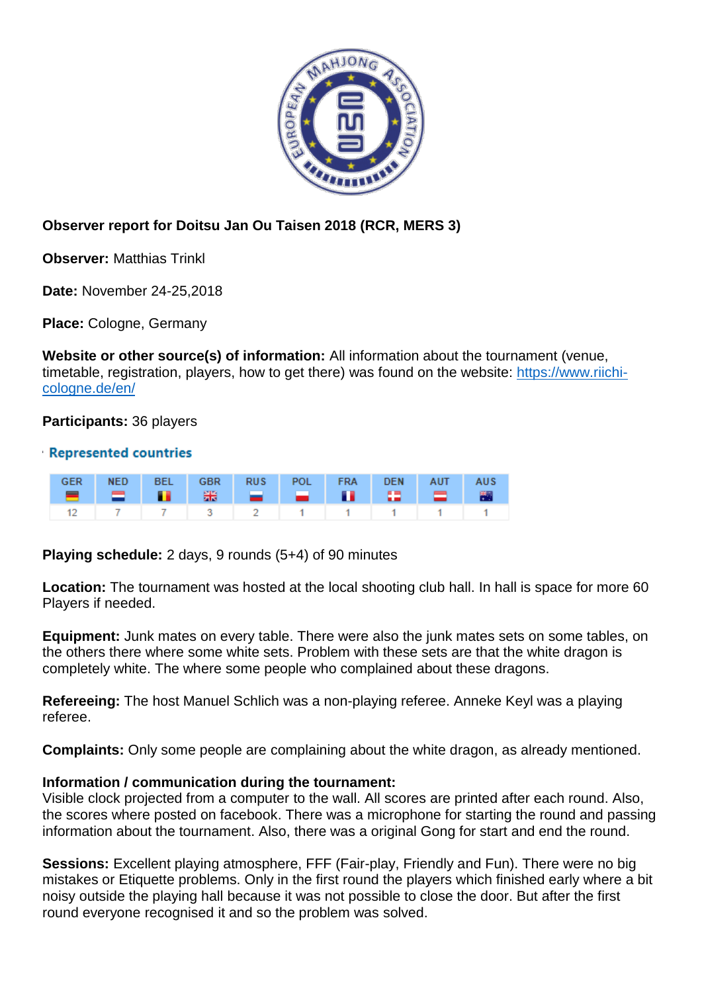

## **Observer report for Doitsu Jan Ou Taisen 2018 (RCR, MERS 3)**

**Observer:** Matthias Trinkl

**Date:** November 24-25,2018

**Place:** Cologne, Germany

**Website or other source(s) of information:** All information about the tournament (venue, timetable, registration, players, how to get there) was found on the website: [https://www.riichi](https://www.riichi-cologne.de/en/)[cologne.de/en/](https://www.riichi-cologne.de/en/)

**Participants:** 36 players

## **Represented countries**

|  | GER NED BEL GBR RUS POL FRA DEN AUT AUS |  |  |  |  |
|--|-----------------------------------------|--|--|--|--|
|  | 12 7 7 3 2 1 1 1 1 1 1                  |  |  |  |  |

**Playing schedule:** 2 days, 9 rounds (5+4) of 90 minutes

**Location:** The tournament was hosted at the local shooting club hall. In hall is space for more 60 Players if needed.

**Equipment:** Junk mates on every table. There were also the junk mates sets on some tables, on the others there where some white sets. Problem with these sets are that the white dragon is completely white. The where some people who complained about these dragons.

**Refereeing:** The host Manuel Schlich was a non-playing referee. Anneke Keyl was a playing referee.

**Complaints:** Only some people are complaining about the white dragon, as already mentioned.

## **Information / communication during the tournament:**

Visible clock projected from a computer to the wall. All scores are printed after each round. Also, the scores where posted on facebook. There was a microphone for starting the round and passing information about the tournament. Also, there was a original Gong for start and end the round.

**Sessions:** Excellent playing atmosphere, FFF (Fair-play, Friendly and Fun). There were no big mistakes or Etiquette problems. Only in the first round the players which finished early where a bit noisy outside the playing hall because it was not possible to close the door. But after the first round everyone recognised it and so the problem was solved.